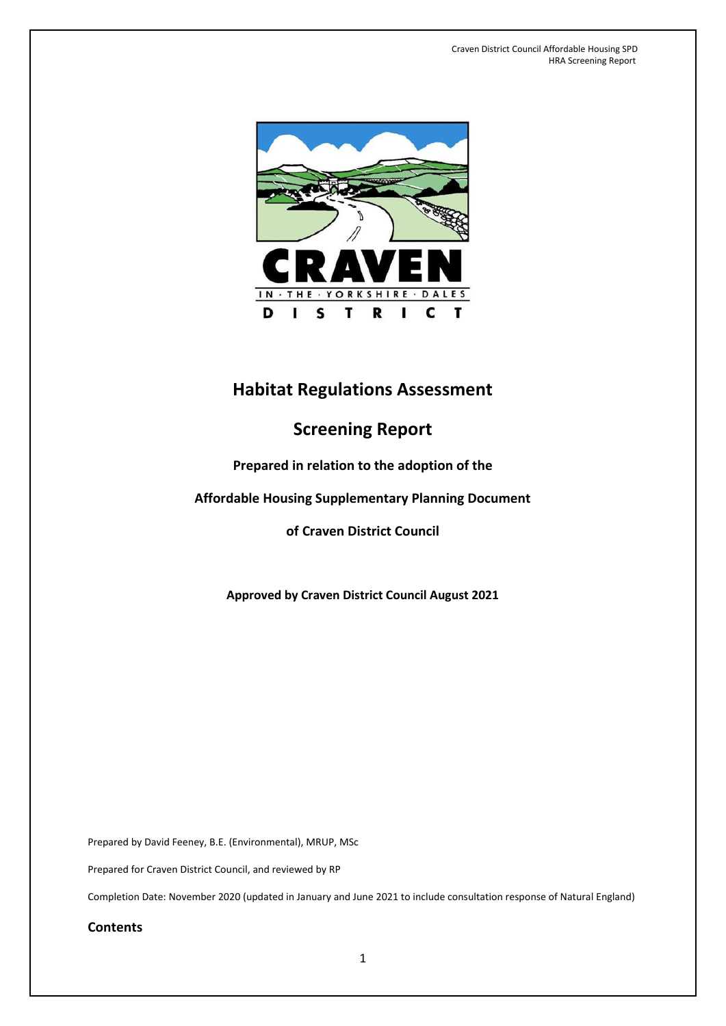

# **Habitat Regulations Assessment**

# **Screening Report**

# **Prepared in relation to the adoption of the**

# **Affordable Housing Supplementary Planning Document**

# **of Craven District Council**

**Approved by Craven District Council August 2021**

Prepared by David Feeney, B.E. (Environmental), MRUP, MSc

Prepared for Craven District Council, and reviewed by RP

Completion Date: November 2020 (updated in January and June 2021 to include consultation response of Natural England)

**Contents**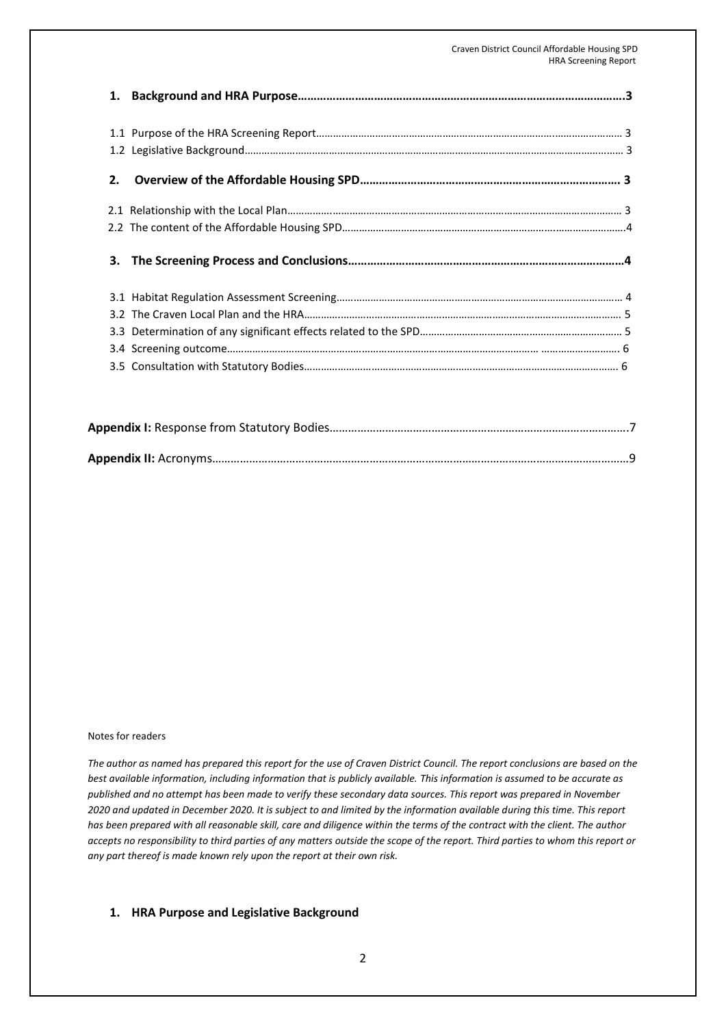#### Craven District Council Affordable Housing SPD HRA Screening Report

| 2. |  |
|----|--|
|    |  |
|    |  |
| 3. |  |
|    |  |
|    |  |
|    |  |
|    |  |
|    |  |

#### Notes for readers

*The author as named has prepared this report for the use of Craven District Council. The report conclusions are based on the best available information, including information that is publicly available. This information is assumed to be accurate as published and no attempt has been made to verify these secondary data sources. This report was prepared in November 2020 and updated in December 2020. It is subject to and limited by the information available during this time. This report has been prepared with all reasonable skill, care and diligence within the terms of the contract with the client. The author accepts no responsibility to third parties of any matters outside the scope of the report. Third parties to whom this report or any part thereof is made known rely upon the report at their own risk.*

#### **1. HRA Purpose and Legislative Background**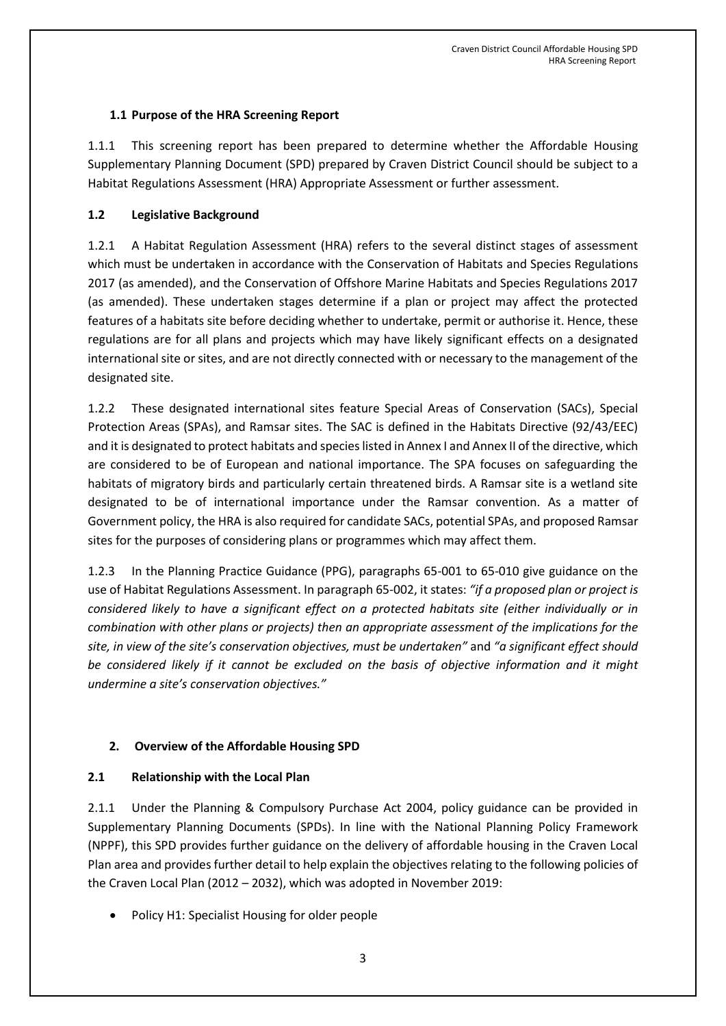### **1.1 Purpose of the HRA Screening Report**

1.1.1 This screening report has been prepared to determine whether the Affordable Housing Supplementary Planning Document (SPD) prepared by Craven District Council should be subject to a Habitat Regulations Assessment (HRA) Appropriate Assessment or further assessment.

### **1.2 Legislative Background**

1.2.1 A Habitat Regulation Assessment (HRA) refers to the several distinct stages of assessment which must be undertaken in accordance with the Conservation of Habitats and Species Regulations 2017 (as amended), and the Conservation of Offshore Marine Habitats and Species Regulations 2017 (as amended). These undertaken stages determine if a plan or project may affect the protected features of a habitats site before deciding whether to undertake, permit or authorise it. Hence, these regulations are for all plans and projects which may have likely significant effects on a designated international site or sites, and are not directly connected with or necessary to the management of the designated site.

1.2.2 These designated international sites feature Special Areas of Conservation (SACs), Special Protection Areas (SPAs), and Ramsar sites. The SAC is defined in the Habitats Directive (92/43/EEC) and it is designated to protect habitats and species listed in Annex I and Annex II of the directive, which are considered to be of European and national importance. The SPA focuses on safeguarding the habitats of migratory birds and particularly certain threatened birds. A Ramsar site is a wetland site designated to be of international importance under the Ramsar convention. As a matter of Government policy, the HRA is also required for candidate SACs, potential SPAs, and proposed Ramsar sites for the purposes of considering plans or programmes which may affect them.

1.2.3 In the Planning Practice Guidance (PPG), paragraphs 65-001 to 65-010 give guidance on the use of Habitat Regulations Assessment. In paragraph 65-002, it states: *"if a proposed plan or project is considered likely to have a significant effect on a protected habitats site (either individually or in combination with other plans or projects) then an appropriate assessment of the implications for the site, in view of the site's conservation objectives, must be undertaken"* and *"a significant effect should be considered likely if it cannot be excluded on the basis of objective information and it might undermine a site's conservation objectives."*

# **2. Overview of the Affordable Housing SPD**

# **2.1 Relationship with the Local Plan**

2.1.1 Under the Planning & Compulsory Purchase Act 2004, policy guidance can be provided in Supplementary Planning Documents (SPDs). In line with the National Planning Policy Framework (NPPF), this SPD provides further guidance on the delivery of affordable housing in the Craven Local Plan area and provides further detail to help explain the objectives relating to the following policies of the Craven Local Plan (2012 – 2032), which was adopted in November 2019:

• Policy H1: Specialist Housing for older people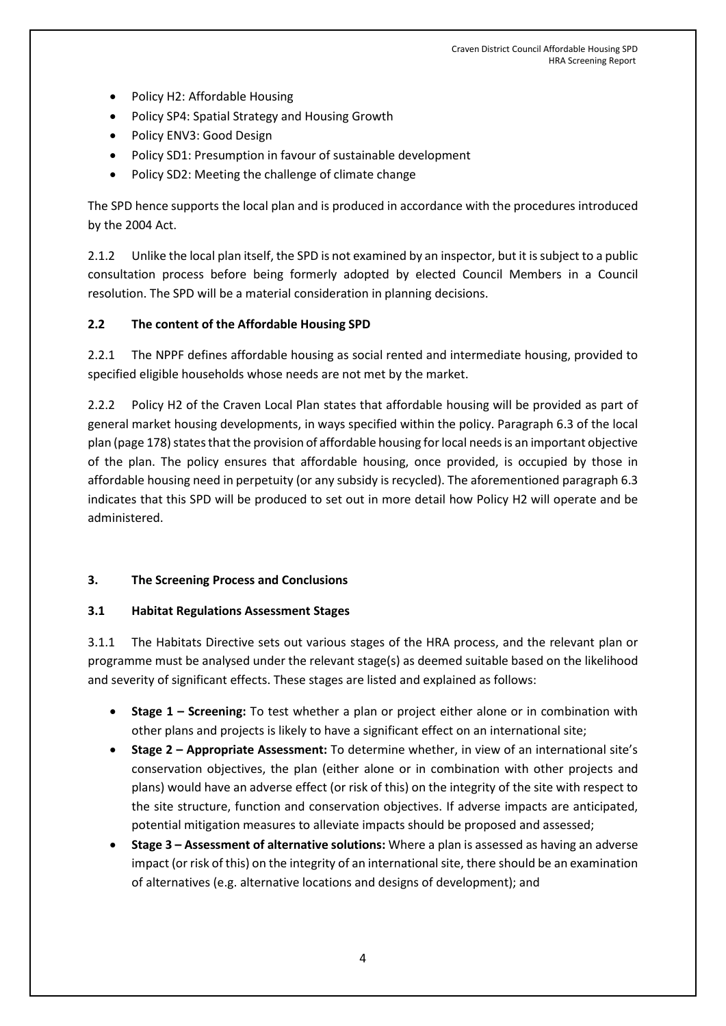- Policy H2: Affordable Housing
- Policy SP4: Spatial Strategy and Housing Growth
- Policy ENV3: Good Design
- Policy SD1: Presumption in favour of sustainable development
- Policy SD2: Meeting the challenge of climate change

The SPD hence supports the local plan and is produced in accordance with the procedures introduced by the 2004 Act.

2.1.2 Unlike the local plan itself, the SPD is not examined by an inspector, but it is subject to a public consultation process before being formerly adopted by elected Council Members in a Council resolution. The SPD will be a material consideration in planning decisions.

#### **2.2 The content of the Affordable Housing SPD**

2.2.1 The NPPF defines affordable housing as social rented and intermediate housing, provided to specified eligible households whose needs are not met by the market.

2.2.2 Policy H2 of the Craven Local Plan states that affordable housing will be provided as part of general market housing developments, in ways specified within the policy. Paragraph 6.3 of the local plan (page 178) states that the provision of affordable housing for local needs is an important objective of the plan. The policy ensures that affordable housing, once provided, is occupied by those in affordable housing need in perpetuity (or any subsidy is recycled). The aforementioned paragraph 6.3 indicates that this SPD will be produced to set out in more detail how Policy H2 will operate and be administered.

#### **3. The Screening Process and Conclusions**

#### **3.1 Habitat Regulations Assessment Stages**

3.1.1 The Habitats Directive sets out various stages of the HRA process, and the relevant plan or programme must be analysed under the relevant stage(s) as deemed suitable based on the likelihood and severity of significant effects. These stages are listed and explained as follows:

- **Stage 1 – Screening:** To test whether a plan or project either alone or in combination with other plans and projects is likely to have a significant effect on an international site;
- **Stage 2 – Appropriate Assessment:** To determine whether, in view of an international site's conservation objectives, the plan (either alone or in combination with other projects and plans) would have an adverse effect (or risk of this) on the integrity of the site with respect to the site structure, function and conservation objectives. If adverse impacts are anticipated, potential mitigation measures to alleviate impacts should be proposed and assessed;
- **Stage 3 – Assessment of alternative solutions:** Where a plan is assessed as having an adverse impact (or risk of this) on the integrity of an international site, there should be an examination of alternatives (e.g. alternative locations and designs of development); and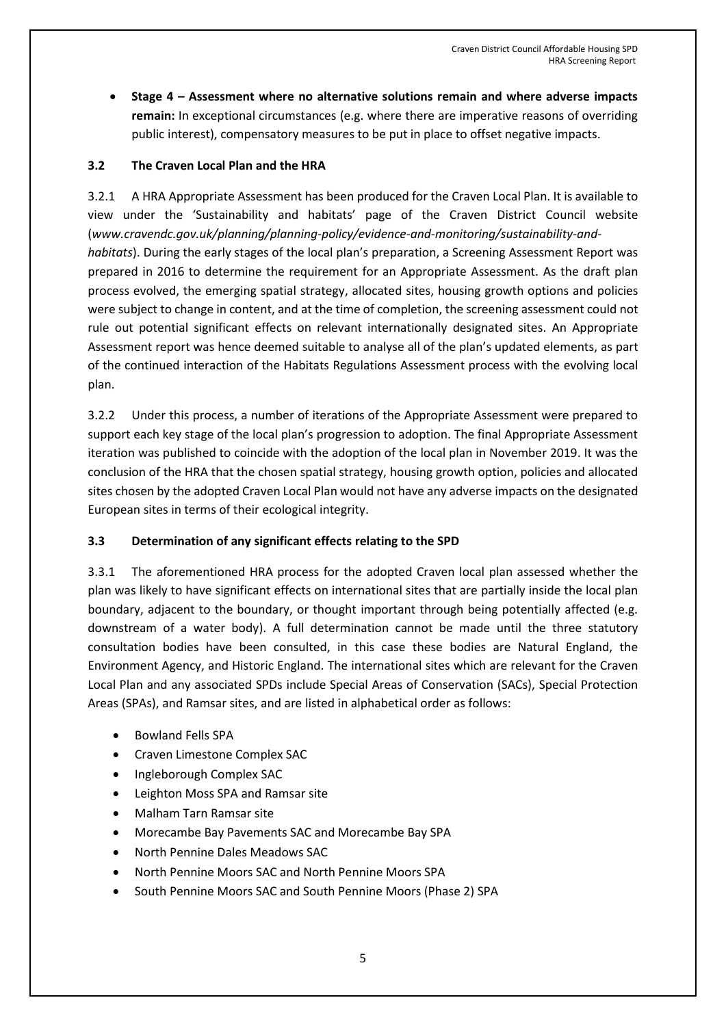**Stage 4 – Assessment where no alternative solutions remain and where adverse impacts remain:** In exceptional circumstances (e.g. where there are imperative reasons of overriding public interest), compensatory measures to be put in place to offset negative impacts.

#### **3.2 The Craven Local Plan and the HRA**

3.2.1 A HRA Appropriate Assessment has been produced for the Craven Local Plan. It is available to view under the 'Sustainability and habitats' page of the Craven District Council website (*www.cravendc.gov.uk/planning/planning-policy/evidence-and-monitoring/sustainability-andhabitats*). During the early stages of the local plan's preparation, a Screening Assessment Report was prepared in 2016 to determine the requirement for an Appropriate Assessment. As the draft plan process evolved, the emerging spatial strategy, allocated sites, housing growth options and policies were subject to change in content, and at the time of completion, the screening assessment could not rule out potential significant effects on relevant internationally designated sites. An Appropriate Assessment report was hence deemed suitable to analyse all of the plan's updated elements, as part of the continued interaction of the Habitats Regulations Assessment process with the evolving local plan.

3.2.2 Under this process, a number of iterations of the Appropriate Assessment were prepared to support each key stage of the local plan's progression to adoption. The final Appropriate Assessment iteration was published to coincide with the adoption of the local plan in November 2019. It was the conclusion of the HRA that the chosen spatial strategy, housing growth option, policies and allocated sites chosen by the adopted Craven Local Plan would not have any adverse impacts on the designated European sites in terms of their ecological integrity.

# **3.3 Determination of any significant effects relating to the SPD**

3.3.1 The aforementioned HRA process for the adopted Craven local plan assessed whether the plan was likely to have significant effects on international sites that are partially inside the local plan boundary, adjacent to the boundary, or thought important through being potentially affected (e.g. downstream of a water body). A full determination cannot be made until the three statutory consultation bodies have been consulted, in this case these bodies are Natural England, the Environment Agency, and Historic England. The international sites which are relevant for the Craven Local Plan and any associated SPDs include Special Areas of Conservation (SACs), Special Protection Areas (SPAs), and Ramsar sites, and are listed in alphabetical order as follows:

- Bowland Fells SPA
- Craven Limestone Complex SAC
- Ingleborough Complex SAC
- Leighton Moss SPA and Ramsar site
- Malham Tarn Ramsar site
- Morecambe Bay Pavements SAC and Morecambe Bay SPA
- North Pennine Dales Meadows SAC
- North Pennine Moors SAC and North Pennine Moors SPA
- South Pennine Moors SAC and South Pennine Moors (Phase 2) SPA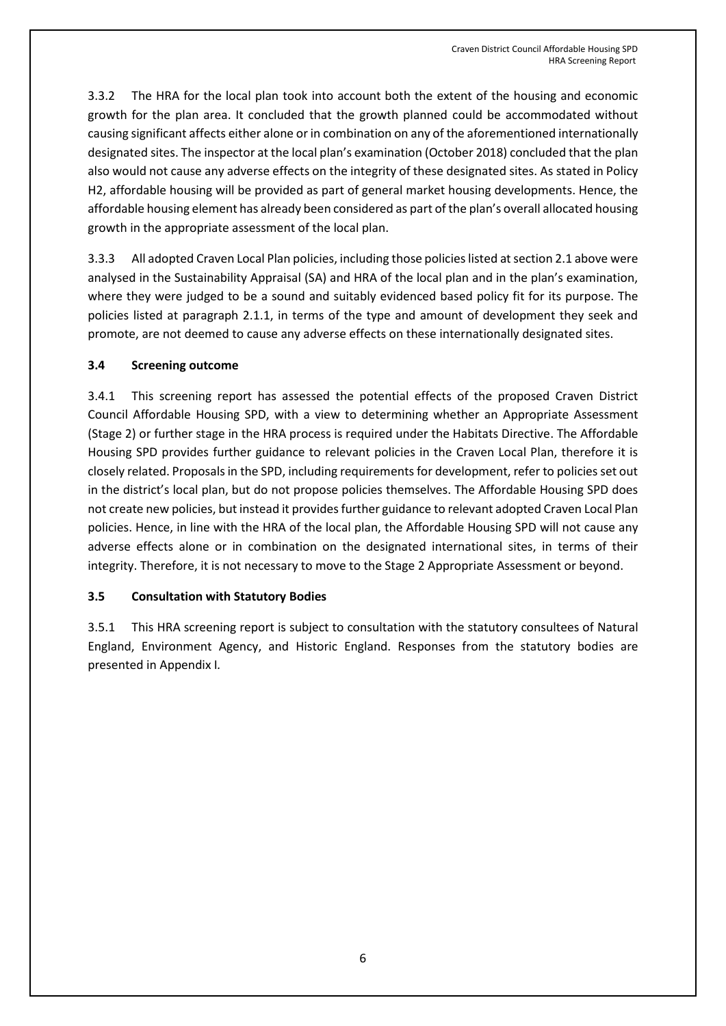3.3.2 The HRA for the local plan took into account both the extent of the housing and economic growth for the plan area. It concluded that the growth planned could be accommodated without causing significant affects either alone or in combination on any of the aforementioned internationally designated sites. The inspector at the local plan's examination (October 2018) concluded that the plan also would not cause any adverse effects on the integrity of these designated sites. As stated in Policy H2, affordable housing will be provided as part of general market housing developments. Hence, the affordable housing element has already been considered as part of the plan's overall allocated housing growth in the appropriate assessment of the local plan.

3.3.3 All adopted Craven Local Plan policies, including those policies listed at section 2.1 above were analysed in the Sustainability Appraisal (SA) and HRA of the local plan and in the plan's examination, where they were judged to be a sound and suitably evidenced based policy fit for its purpose. The policies listed at paragraph 2.1.1, in terms of the type and amount of development they seek and promote, are not deemed to cause any adverse effects on these internationally designated sites.

### **3.4 Screening outcome**

3.4.1 This screening report has assessed the potential effects of the proposed Craven District Council Affordable Housing SPD, with a view to determining whether an Appropriate Assessment (Stage 2) or further stage in the HRA process is required under the Habitats Directive. The Affordable Housing SPD provides further guidance to relevant policies in the Craven Local Plan, therefore it is closely related. Proposals in the SPD, including requirements for development, refer to policies set out in the district's local plan, but do not propose policies themselves. The Affordable Housing SPD does not create new policies, but instead it provides further guidance to relevant adopted Craven Local Plan policies. Hence, in line with the HRA of the local plan, the Affordable Housing SPD will not cause any adverse effects alone or in combination on the designated international sites, in terms of their integrity. Therefore, it is not necessary to move to the Stage 2 Appropriate Assessment or beyond.

#### **3.5 Consultation with Statutory Bodies**

3.5.1 This HRA screening report is subject to consultation with the statutory consultees of Natural England, Environment Agency, and Historic England. Responses from the statutory bodies are presented in Appendix I*.*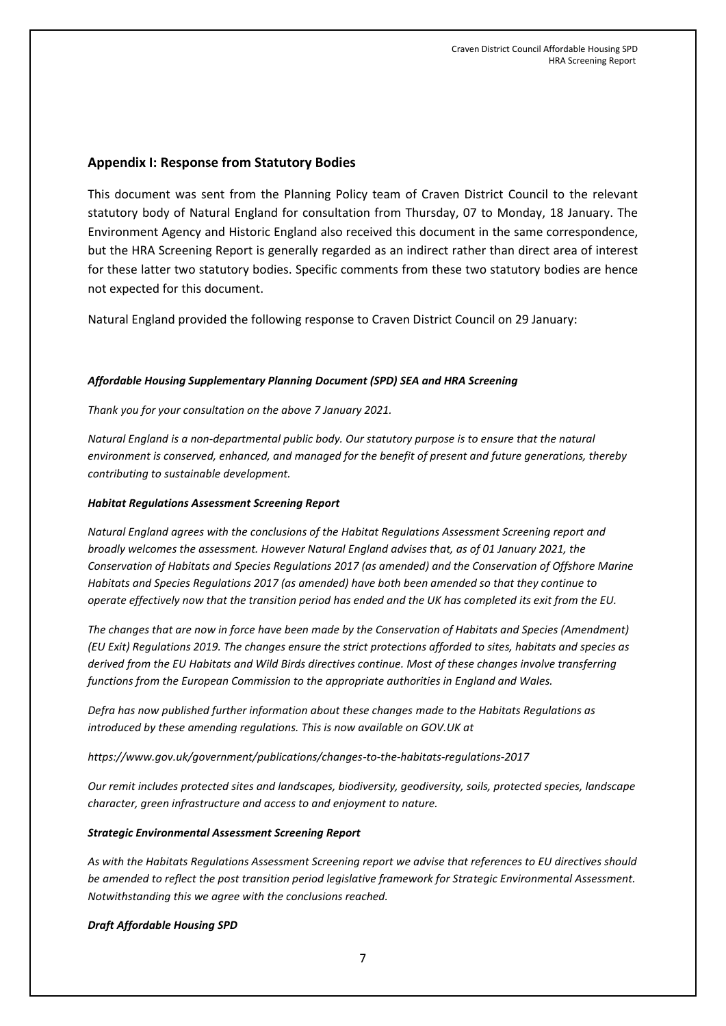#### **Appendix I: Response from Statutory Bodies**

This document was sent from the Planning Policy team of Craven District Council to the relevant statutory body of Natural England for consultation from Thursday, 07 to Monday, 18 January. The Environment Agency and Historic England also received this document in the same correspondence, but the HRA Screening Report is generally regarded as an indirect rather than direct area of interest for these latter two statutory bodies. Specific comments from these two statutory bodies are hence not expected for this document.

Natural England provided the following response to Craven District Council on 29 January:

#### *Affordable Housing Supplementary Planning Document (SPD) SEA and HRA Screening*

*Thank you for your consultation on the above 7 January 2021.*

*Natural England is a non-departmental public body. Our statutory purpose is to ensure that the natural environment is conserved, enhanced, and managed for the benefit of present and future generations, thereby contributing to sustainable development.*

#### *Habitat Regulations Assessment Screening Report*

*Natural England agrees with the conclusions of the Habitat Regulations Assessment Screening report and broadly welcomes the assessment. However Natural England advises that, as of 01 January 2021, the Conservation of Habitats and Species Regulations 2017 (as amended) and the Conservation of Offshore Marine Habitats and Species Regulations 2017 (as amended) have both been amended so that they continue to operate effectively now that the transition period has ended and the UK has completed its exit from the EU.*

*The changes that are now in force have been made by the Conservation of Habitats and Species (Amendment) (EU Exit) Regulations 2019. The changes ensure the strict protections afforded to sites, habitats and species as derived from the EU Habitats and Wild Birds directives continue. Most of these changes involve transferring functions from the European Commission to the appropriate authorities in England and Wales.*

*Defra has now published further information about these changes made to the Habitats Regulations as introduced by these amending regulations. This is now available on GOV.UK at*

*<https://www.gov.uk/government/publications/changes-to-the-habitats-regulations-2017>*

*Our remit includes protected sites and landscapes, biodiversity, geodiversity, soils, protected species, landscape character, green infrastructure and access to and enjoyment to nature.*

#### *Strategic Environmental Assessment Screening Report*

*As with the Habitats Regulations Assessment Screening report we advise that references to EU directives should be amended to reflect the post transition period legislative framework for Strategic Environmental Assessment. Notwithstanding this we agree with the conclusions reached.*

*Draft Affordable Housing SPD*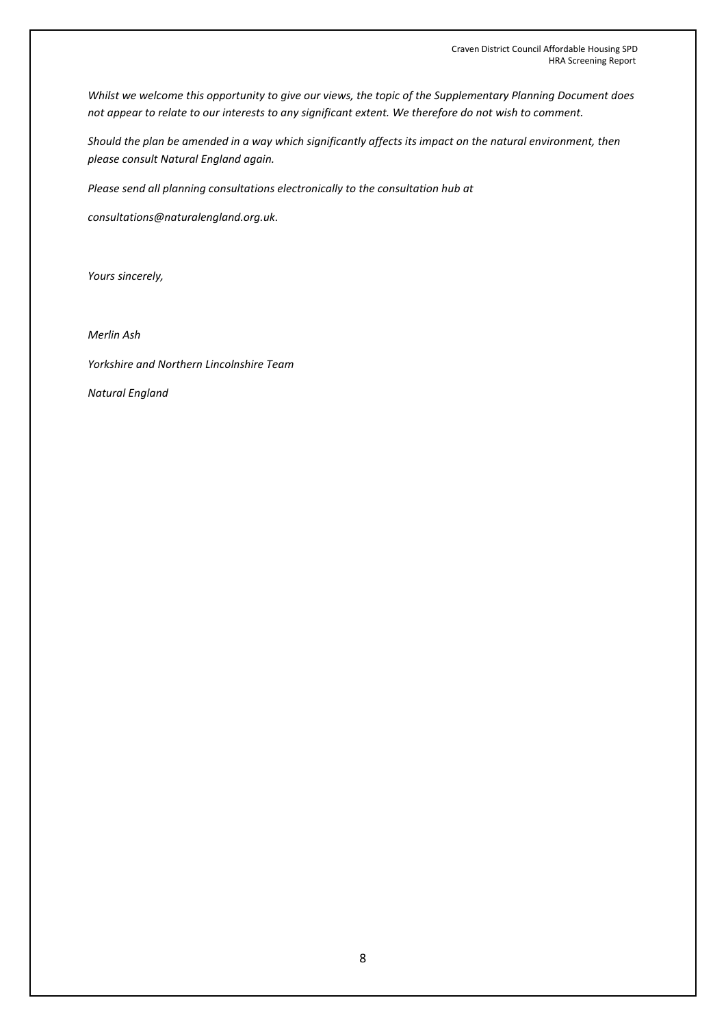*Whilst we welcome this opportunity to give our views, the topic of the Supplementary Planning Document does not appear to relate to our interests to any significant extent. We therefore do not wish to comment.* 

*Should the plan be amended in a way which significantly affects its impact on the natural environment, then please consult Natural England again.*

*Please send all planning consultations electronically to the consultation hub at*

*[consultations@naturalengland.org.uk.](mailto:consultations@naturalengland.org.uk)*

*Yours sincerely,*

*Merlin Ash*

*Yorkshire and Northern Lincolnshire Team*

*Natural England*